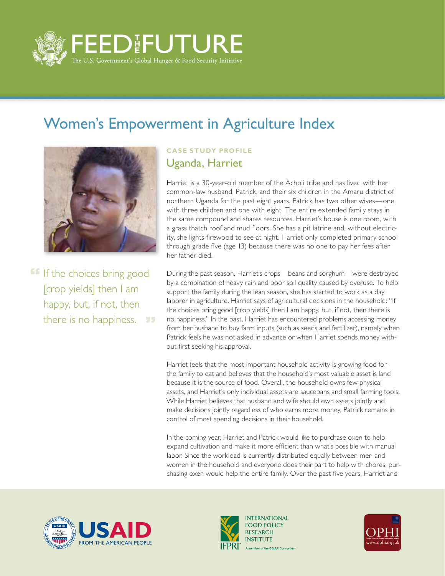

## Women's Empowerment in Agriculture Index



**If If the choices bring good** [crop yields] then I am happy, but, if not, then there is no happiness. 99

## **CASE STUDY PROFILE** Uganda, Harriet

Harriet is a 30-year-old member of the Acholi tribe and has lived with her common-law husband, Patrick, and their six children in the Amaru district of northern Uganda for the past eight years. Patrick has two other wives—one with three children and one with eight. The entire extended family stays in the same compound and shares resources. Harriet's house is one room, with a grass thatch roof and mud floors. She has a pit latrine and, without electricity, she lights firewood to see at night. Harriet only completed primary school through grade five (age 13) because there was no one to pay her fees after her father died.

During the past season, Harriet's crops—beans and sorghum—were destroyed by a combination of heavy rain and poor soil quality caused by overuse. To help support the family during the lean season, she has started to work as a day laborer in agriculture. Harriet says of agricultural decisions in the household: "If the choices bring good [crop yields] then I am happy, but, if not, then there is no happiness." In the past, Harriet has encountered problems accessing money from her husband to buy farm inputs (such as seeds and fertilizer), namely when Patrick feels he was not asked in advance or when Harriet spends money without first seeking his approval.

Harriet feels that the most important household activity is growing food for the family to eat and believes that the household's most valuable asset is land because it is the source of food. Overall, the household owns few physical assets, and Harriet's only individual assets are saucepans and small farming tools. While Harriet believes that husband and wife should own assets jointly and make decisions jointly regardless of who earns more money, Patrick remains in control of most spending decisions in their household.

In the coming year, Harriet and Patrick would like to purchase oxen to help expand cultivation and make it more efficient than what's possible with manual labor. Since the workload is currently distributed equally between men and women in the household and everyone does their part to help with chores, purchasing oxen would help the entire family. Over the past five years, Harriet and





**INTERNATIONAL FOOD POLICY RESEARCH** A member of the CGIAR Consortium